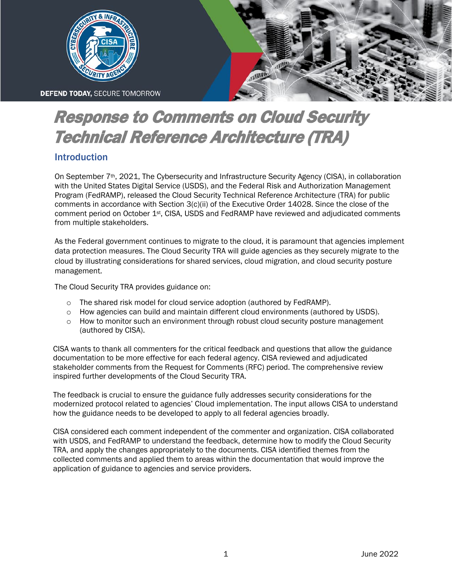

# Response to Comments on Cloud Security Technical Reference Architecture (TRA)

## Introduction

On September  $7<sup>th</sup>$ , 2021, The Cybersecurity and Infrastructure Security Agency (CISA), in collaboration with the United States Digital Service (USDS), and the Federal Risk and Authorization Management Program (FedRAMP), released the Cloud Security Technical Reference Architecture (TRA) for public comments in accordance with Section 3(c)(ii) of the Executive Order 14028. Since the close of the comment period on October 1st, CISA, USDS and FedRAMP have reviewed and adjudicated comments from multiple stakeholders.

As the Federal government continues to migrate to the cloud, it is paramount that agencies implement data protection measures. The Cloud Security TRA will guide agencies as they securely migrate to the cloud by illustrating considerations for shared services, cloud migration, and cloud security posture management.

The Cloud Security TRA provides guidance on:

- $\circ$  The shared risk model for cloud service adoption (authored by FedRAMP).
- o How agencies can build and maintain different cloud environments (authored by USDS).
- o How to monitor such an environment through robust cloud security posture management (authored by CISA).

CISA wants to thank all commenters for the critical feedback and questions that allow the guidance documentation to be more effective for each federal agency. CISA reviewed and adjudicated stakeholder comments from the Request for Comments (RFC) period. The comprehensive review inspired further developments of the Cloud Security TRA.

The feedback is crucial to ensure the guidance fully addresses security considerations for the modernized protocol related to agencies' Cloud implementation. The input allows CISA to understand how the guidance needs to be developed to apply to all federal agencies broadly.

CISA considered each comment independent of the commenter and organization. CISA collaborated with USDS, and FedRAMP to understand the feedback, determine how to modify the Cloud Security TRA, and apply the changes appropriately to the documents. CISA identified themes from the collected comments and applied them to areas within the documentation that would improve the application of guidance to agencies and service providers.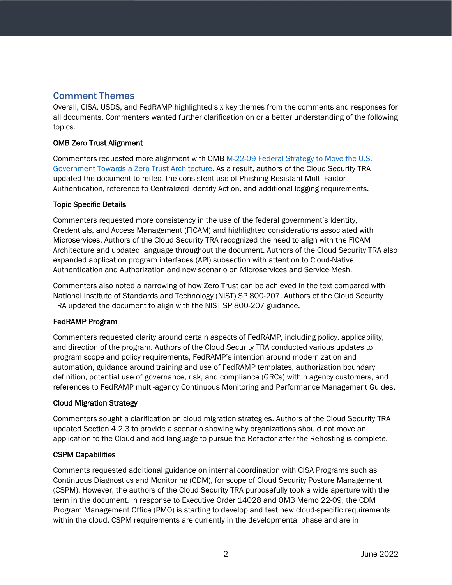### Comment Themes

Overall, CISA, USDS, and FedRAMP highlighted six key themes from the comments and responses for all documents. Commenters wanted further clarification on or a better understanding of the following topics.

#### OMB Zero Trust Alignment

Commenters requested more alignment with OMB M-22-09 [Federal Strategy to Move the U.S.](https://www.whitehouse.gov/omb/briefing-room/2022/01/26/office-of-management-and-budget-releases-federal-strategy-to-move-the-u-s-government-towards-a-zero-trust-architecture/)  [Government Towards a Zero Trust Architecture.](https://www.whitehouse.gov/omb/briefing-room/2022/01/26/office-of-management-and-budget-releases-federal-strategy-to-move-the-u-s-government-towards-a-zero-trust-architecture/) As a result, authors of the Cloud Security TRA updated the document to reflect the consistent use of Phishing Resistant Multi-Factor Authentication, reference to Centralized Identity Action, and additional logging requirements.

#### Topic Specific Details

Commenters requested more consistency in the use of the federal government's Identity, Credentials, and Access Management (FICAM) and highlighted considerations associated with Microservices. Authors of the Cloud Security TRA recognized the need to align with the FICAM Architecture and updated language throughout the document. Authors of the Cloud Security TRA also expanded application program interfaces (API) subsection with attention to Cloud-Native Authentication and Authorization and new scenario on Microservices and Service Mesh.

Commenters also noted a narrowing of how Zero Trust can be achieved in the text compared with National Institute of Standards and Technology (NIST) SP 800-207. Authors of the Cloud Security TRA updated the document to align with the NIST SP 800-207 guidance.

#### FedRAMP Program

Commenters requested clarity around certain aspects of FedRAMP, including policy, applicability, and direction of the program. Authors of the Cloud Security TRA conducted various updates to program scope and policy requirements, FedRAMP's intention around modernization and automation, guidance around training and use of FedRAMP templates, authorization boundary definition, potential use of governance, risk, and compliance (GRCs) within agency customers, and references to FedRAMP multi-agency Continuous Monitoring and Performance Management Guides.

#### Cloud Migration Strategy

Commenters sought a clarification on cloud migration strategies. Authors of the Cloud Security TRA updated Section 4.2.3 to provide a scenario showing why organizations should not move an application to the Cloud and add language to pursue the Refactor after the Rehosting is complete.

#### CSPM Capabilities

Comments requested additional guidance on internal coordination with CISA Programs such as Continuous Diagnostics and Monitoring (CDM), for scope of Cloud Security Posture Management (CSPM). However, the authors of the Cloud Security TRA purposefully took a wide aperture with the term in the document. In response to Executive Order 14028 and OMB Memo 22-09, the CDM Program Management Office (PMO) is starting to develop and test new cloud-specific requirements within the cloud. CSPM requirements are currently in the developmental phase and are in